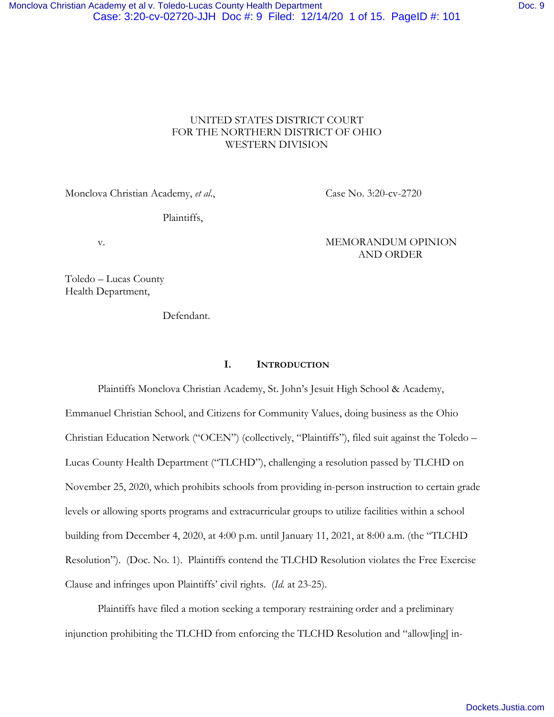# UNITED STATES DISTRICT COURT FOR THE NORTHERN DISTRICT OF OHIO WESTERN DIVISION

Monclova Christian Academy, *et al.*, Case No. 3:20-cv-2720

Plaintiffs,

v. **MEMORANDUM OPINION** AND ORDER

Toledo – Lucas County Health Department,

Defendant.

# **I. INTRODUCTION**

Plaintiffs Monclova Christian Academy, St. John's Jesuit High School & Academy, Emmanuel Christian School, and Citizens for Community Values, doing business as the Ohio Christian Education Network ("OCEN") (collectively, "Plaintiffs"), filed suit against the Toledo – Lucas County Health Department ("TLCHD"), challenging a resolution passed by TLCHD on November 25, 2020, which prohibits schools from providing in-person instruction to certain grade levels or allowing sports programs and extracurricular groups to utilize facilities within a school building from December 4, 2020, at 4:00 p.m. until January 11, 2021, at 8:00 a.m. (the "TLCHD Resolution"). (Doc. No. 1). Plaintiffs contend the TLCHD Resolution violates the Free Exercise Clause and infringes upon Plaintiffs' civil rights. (*Id.* at 23-25).

Plaintiffs have filed a motion seeking a temporary restraining order and a preliminary injunction prohibiting the TLCHD from enforcing the TLCHD Resolution and "allow[ing] in-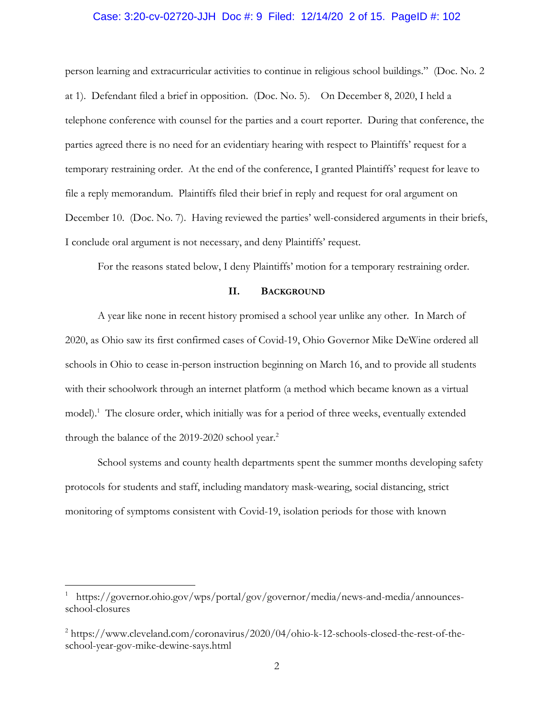### Case: 3:20-cv-02720-JJH Doc #: 9 Filed: 12/14/20 2 of 15. PageID #: 102

person learning and extracurricular activities to continue in religious school buildings." (Doc. No. 2 at 1). Defendant filed a brief in opposition. (Doc. No. 5). On December 8, 2020, I held a telephone conference with counsel for the parties and a court reporter. During that conference, the parties agreed there is no need for an evidentiary hearing with respect to Plaintiffs' request for a temporary restraining order. At the end of the conference, I granted Plaintiffs' request for leave to file a reply memorandum. Plaintiffs filed their brief in reply and request for oral argument on December 10. (Doc. No. 7). Having reviewed the parties' well-considered arguments in their briefs, I conclude oral argument is not necessary, and deny Plaintiffs' request.

For the reasons stated below, I deny Plaintiffs' motion for a temporary restraining order.

# **II. BACKGROUND**

A year like none in recent history promised a school year unlike any other. In March of 2020, as Ohio saw its first confirmed cases of Covid-19, Ohio Governor Mike DeWine ordered all schools in Ohio to cease in-person instruction beginning on March 16, and to provide all students with their schoolwork through an internet platform (a method which became known as a virtual model).<sup>1</sup> The closure order, which initially was for a period of three weeks, eventually extended through the balance of the 2019-2020 school year.<sup>2</sup>

School systems and county health departments spent the summer months developing safety protocols for students and staff, including mandatory mask-wearing, social distancing, strict monitoring of symptoms consistent with Covid-19, isolation periods for those with known

<sup>1</sup> https://governor.ohio.gov/wps/portal/gov/governor/media/news-and-media/announcesschool-closures

<sup>&</sup>lt;sup>2</sup> https://www.cleveland.com/coronavirus/2020/04/ohio-k-12-schools-closed-the-rest-of-theschool-year-gov-mike-dewine-says.html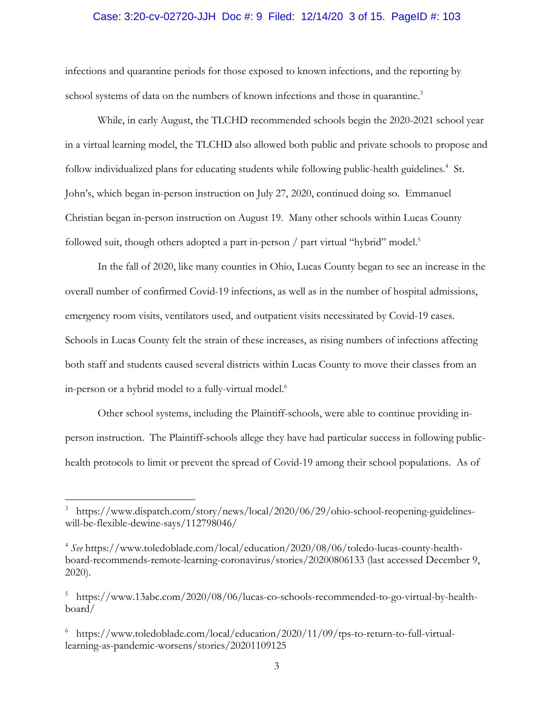### Case: 3:20-cv-02720-JJH Doc #: 9 Filed: 12/14/20 3 of 15. PageID #: 103

infections and quarantine periods for those exposed to known infections, and the reporting by school systems of data on the numbers of known infections and those in quarantine.<sup>3</sup>

While, in early August, the TLCHD recommended schools begin the 2020-2021 school year in a virtual learning model, the TLCHD also allowed both public and private schools to propose and follow individualized plans for educating students while following public-health guidelines.<sup>4</sup> St. John's, which began in-person instruction on July 27, 2020, continued doing so. Emmanuel Christian began in-person instruction on August 19. Many other schools within Lucas County followed suit, though others adopted a part in-person / part virtual "hybrid" model.<sup>5</sup>

In the fall of 2020, like many counties in Ohio, Lucas County began to see an increase in the overall number of confirmed Covid-19 infections, as well as in the number of hospital admissions, emergency room visits, ventilators used, and outpatient visits necessitated by Covid-19 cases. Schools in Lucas County felt the strain of these increases, as rising numbers of infections affecting both staff and students caused several districts within Lucas County to move their classes from an in-person or a hybrid model to a fully-virtual model.<sup>6</sup>

Other school systems, including the Plaintiff-schools, were able to continue providing inperson instruction. The Plaintiff-schools allege they have had particular success in following publichealth protocols to limit or prevent the spread of Covid-19 among their school populations. As of

<sup>&</sup>lt;sup>3</sup> https://www.dispatch.com/story/news/local/2020/06/29/ohio-school-reopening-guidelineswill-be-flexible-dewine-says/112798046/

<sup>4</sup> *See* https://www.toledoblade.com/local/education/2020/08/06/toledo-lucas-county-healthboard-recommends-remote-learning-coronavirus/stories/20200806133 (last accessed December 9, 2020).

<sup>5</sup> https://www.13abc.com/2020/08/06/lucas-co-schools-recommended-to-go-virtual-by-healthboard/

<sup>6</sup> https://www.toledoblade.com/local/education/2020/11/09/tps-to-return-to-full-virtuallearning-as-pandemic-worsens/stories/20201109125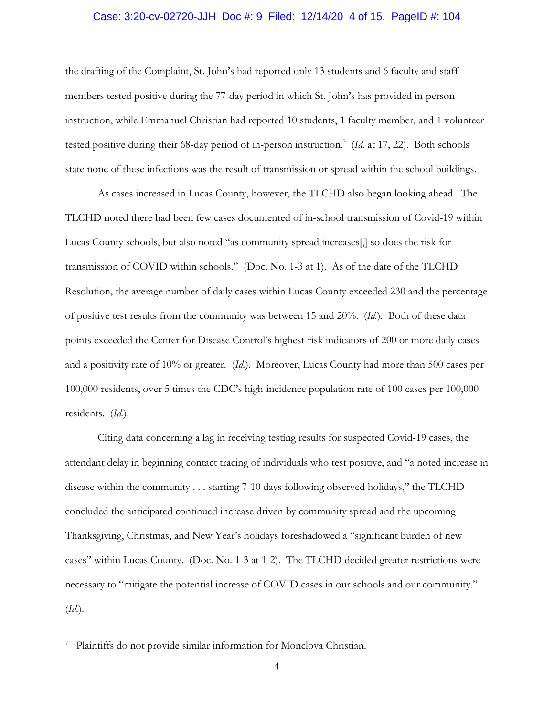### Case: 3:20-cv-02720-JJH Doc #: 9 Filed: 12/14/20 4 of 15. PageID #: 104

the drafting of the Complaint, St. John's had reported only 13 students and 6 faculty and staff members tested positive during the 77-day period in which St. John's has provided in-person instruction, while Emmanuel Christian had reported 10 students, 1 faculty member, and 1 volunteer tested positive during their 68-day period of in-person instruction.<sup>7</sup> (Id. at 17, 22). Both schools state none of these infections was the result of transmission or spread within the school buildings.

As cases increased in Lucas County, however, the TLCHD also began looking ahead. The TLCHD noted there had been few cases documented of in-school transmission of Covid-19 within Lucas County schools, but also noted "as community spread increases[,] so does the risk for transmission of COVID within schools." (Doc. No. 1-3 at 1). As of the date of the TLCHD Resolution, the average number of daily cases within Lucas County exceeded 230 and the percentage of positive test results from the community was between 15 and 20%. (*Id.*). Both of these data points exceeded the Center for Disease Control's highest-risk indicators of 200 or more daily cases and a positivity rate of 10% or greater. (*Id.*). Moreover, Lucas County had more than 500 cases per 100,000 residents, over 5 times the CDC's high-incidence population rate of 100 cases per 100,000 residents. (*Id.*).

Citing data concerning a lag in receiving testing results for suspected Covid-19 cases, the attendant delay in beginning contact tracing of individuals who test positive, and "a noted increase in disease within the community . . . starting 7-10 days following observed holidays," the TLCHD concluded the anticipated continued increase driven by community spread and the upcoming Thanksgiving, Christmas, and New Year's holidays foreshadowed a "significant burden of new cases" within Lucas County. (Doc. No. 1-3 at 1-2). The TLCHD decided greater restrictions were necessary to "mitigate the potential increase of COVID cases in our schools and our community." (*Id.*).

<sup>&</sup>lt;sup>7</sup> Plaintiffs do not provide similar information for Monclova Christian.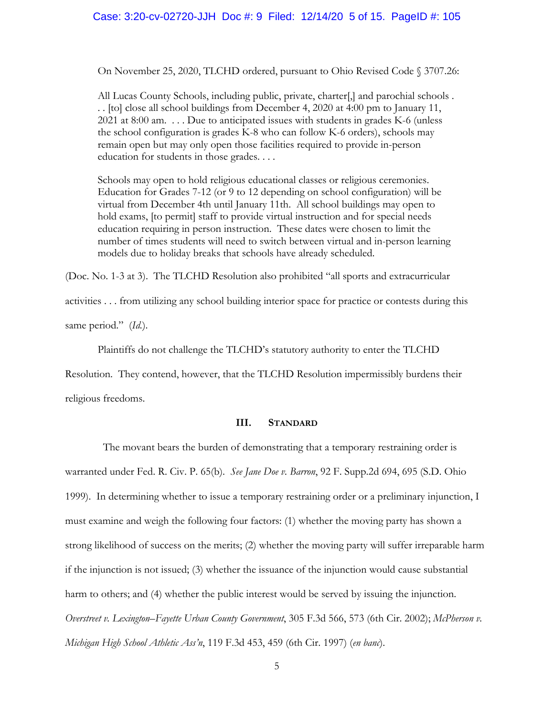#### Case: 3:20-cv-02720-JJH Doc #: 9 Filed: 12/14/20 5 of 15. PageID #: 105

On November 25, 2020, TLCHD ordered, pursuant to Ohio Revised Code § 3707.26:

All Lucas County Schools, including public, private, charter[,] and parochial schools . . . [to] close all school buildings from December 4, 2020 at 4:00 pm to January 11, 2021 at 8:00 am. . . . Due to anticipated issues with students in grades K-6 (unless the school configuration is grades K-8 who can follow K-6 orders), schools may remain open but may only open those facilities required to provide in-person education for students in those grades. . . .

Schools may open to hold religious educational classes or religious ceremonies. Education for Grades 7-12 (or 9 to 12 depending on school configuration) will be virtual from December 4th until January 11th. All school buildings may open to hold exams, [to permit] staff to provide virtual instruction and for special needs education requiring in person instruction. These dates were chosen to limit the number of times students will need to switch between virtual and in-person learning models due to holiday breaks that schools have already scheduled.

(Doc. No. 1-3 at 3). The TLCHD Resolution also prohibited "all sports and extracurricular

activities . . . from utilizing any school building interior space for practice or contests during this same period." (*Id.*).

 Plaintiffs do not challenge the TLCHD's statutory authority to enter the TLCHD Resolution. They contend, however, that the TLCHD Resolution impermissibly burdens their religious freedoms.

# **III. STANDARD**

 The movant bears the burden of demonstrating that a temporary restraining order is warranted under Fed. R. Civ. P. 65(b). *See Jane Doe v. Barron*, 92 F. Supp.2d 694, 695 (S.D. Ohio 1999). In determining whether to issue a temporary restraining order or a preliminary injunction, I must examine and weigh the following four factors: (1) whether the moving party has shown a strong likelihood of success on the merits; (2) whether the moving party will suffer irreparable harm if the injunction is not issued; (3) whether the issuance of the injunction would cause substantial harm to others; and (4) whether the public interest would be served by issuing the injunction. *Overstreet v. Lexington–Fayette Urban County Government*, 305 F.3d 566, 573 (6th Cir. 2002); *McPherson v. Michigan High School Athletic Ass'n*, 119 F.3d 453, 459 (6th Cir. 1997) (*en banc*).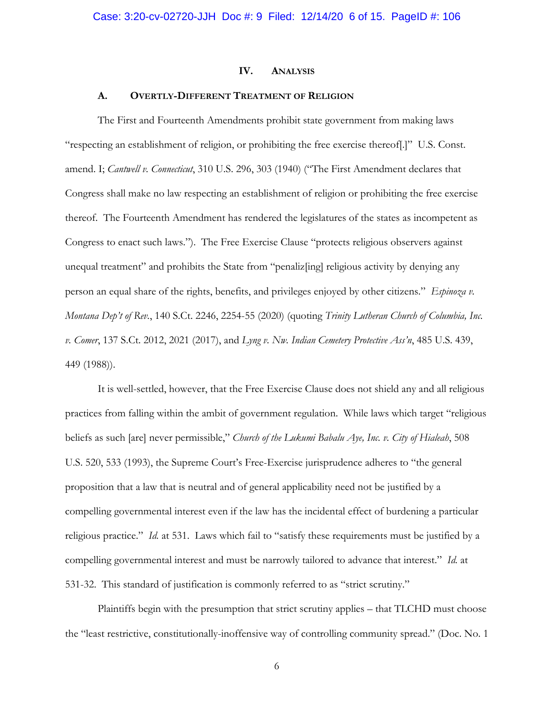#### **IV. ANALYSIS**

#### **A. OVERTLY-DIFFERENT TREATMENT OF RELIGION**

The First and Fourteenth Amendments prohibit state government from making laws "respecting an establishment of religion, or prohibiting the free exercise thereof[.]" U.S. Const. amend. I; *Cantwell v. Connecticut*, 310 U.S. 296, 303 (1940) ("The First Amendment declares that Congress shall make no law respecting an establishment of religion or prohibiting the free exercise thereof. The Fourteenth Amendment has rendered the legislatures of the states as incompetent as Congress to enact such laws."). The Free Exercise Clause "protects religious observers against unequal treatment" and prohibits the State from "penaliz[ing] religious activity by denying any person an equal share of the rights, benefits, and privileges enjoyed by other citizens." *Espinoza v. Montana Dep't of Rev.*, 140 S.Ct. 2246, 2254-55 (2020) (quoting *Trinity Lutheran Church of Columbia, Inc. v. Comer*, 137 S.Ct. 2012, 2021 (2017), and *Lyng v. Nw. Indian Cemetery Protective Ass'n*, 485 U.S. 439, 449 (1988)).

It is well-settled, however, that the Free Exercise Clause does not shield any and all religious practices from falling within the ambit of government regulation. While laws which target "religious beliefs as such [are] never permissible," *Church of the Lukumi Babalu Aye, Inc. v. City of Hialeah*, 508 U.S. 520, 533 (1993), the Supreme Court's Free-Exercise jurisprudence adheres to "the general proposition that a law that is neutral and of general applicability need not be justified by a compelling governmental interest even if the law has the incidental effect of burdening a particular religious practice." *Id.* at 531. Laws which fail to "satisfy these requirements must be justified by a compelling governmental interest and must be narrowly tailored to advance that interest." *Id.* at 531-32. This standard of justification is commonly referred to as "strict scrutiny."

Plaintiffs begin with the presumption that strict scrutiny applies – that TLCHD must choose the "least restrictive, constitutionally-inoffensive way of controlling community spread." (Doc. No. 1

6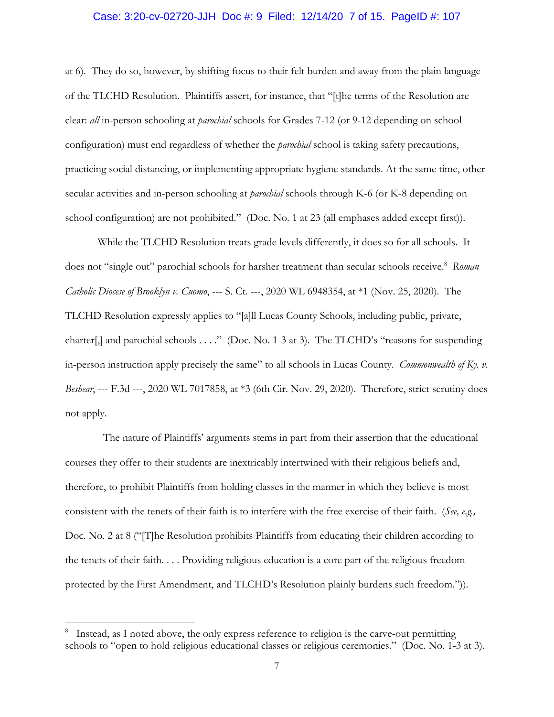#### Case: 3:20-cv-02720-JJH Doc #: 9 Filed: 12/14/20 7 of 15. PageID #: 107

at 6). They do so, however, by shifting focus to their felt burden and away from the plain language of the TLCHD Resolution. Plaintiffs assert, for instance, that "[t]he terms of the Resolution are clear: *all* in-person schooling at *parochial* schools for Grades 7-12 (or 9-12 depending on school configuration) must end regardless of whether the *parochial* school is taking safety precautions, practicing social distancing, or implementing appropriate hygiene standards. At the same time, other secular activities and in-person schooling at *parochial* schools through K-6 (or K-8 depending on school configuration) are not prohibited." (Doc. No. 1 at 23 (all emphases added except first)).

While the TLCHD Resolution treats grade levels differently, it does so for all schools. It does not "single out" parochial schools for harsher treatment than secular schools receive.<sup>8</sup> Roman *Catholic Diocese of Brooklyn v. Cuomo*, --- S. Ct. ---, 2020 WL 6948354, at \*1 (Nov. 25, 2020). The TLCHD Resolution expressly applies to "[a]ll Lucas County Schools, including public, private, charter[,] and parochial schools . . . ." (Doc. No. 1-3 at 3). The TLCHD's "reasons for suspending in-person instruction apply precisely the same" to all schools in Lucas County. *Commonwealth of Ky. v. Beshear*, --- F.3d ---, 2020 WL 7017858, at \*3 (6th Cir. Nov. 29, 2020). Therefore, strict scrutiny does not apply.

 The nature of Plaintiffs' arguments stems in part from their assertion that the educational courses they offer to their students are inextricably intertwined with their religious beliefs and, therefore, to prohibit Plaintiffs from holding classes in the manner in which they believe is most consistent with the tenets of their faith is to interfere with the free exercise of their faith. (*See, e.g.,*  Doc. No. 2 at 8 ("[T]he Resolution prohibits Plaintiffs from educating their children according to the tenets of their faith. . . . Providing religious education is a core part of the religious freedom protected by the First Amendment, and TLCHD's Resolution plainly burdens such freedom.")).

<sup>&</sup>lt;sup>8</sup> Instead, as I noted above, the only express reference to religion is the carve-out permitting schools to "open to hold religious educational classes or religious ceremonies." (Doc. No. 1-3 at 3).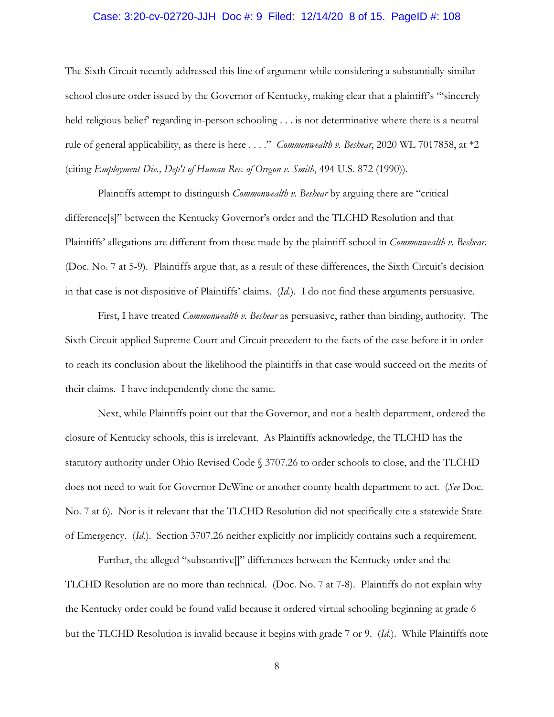### Case: 3:20-cv-02720-JJH Doc #: 9 Filed: 12/14/20 8 of 15. PageID #: 108

The Sixth Circuit recently addressed this line of argument while considering a substantially-similar school closure order issued by the Governor of Kentucky, making clear that a plaintiff's ""sincerely held religious belief' regarding in-person schooling . . . is not determinative where there is a neutral rule of general applicability, as there is here . . . ." *Commonwealth v. Beshear*, 2020 WL 7017858, at \*2 (citing *Employment Div., Dep't of Human Res. of Oregon v. Smith*, 494 U.S. 872 (1990)).

Plaintiffs attempt to distinguish *Commonwealth v. Beshear* by arguing there are "critical difference[s]" between the Kentucky Governor's order and the TLCHD Resolution and that Plaintiffs' allegations are different from those made by the plaintiff-school in *Commonwealth v. Beshear*. (Doc. No. 7 at 5-9). Plaintiffs argue that, as a result of these differences, the Sixth Circuit's decision in that case is not dispositive of Plaintiffs' claims. (*Id.*). I do not find these arguments persuasive.

First, I have treated *Commonwealth v. Beshear* as persuasive, rather than binding, authority. The Sixth Circuit applied Supreme Court and Circuit precedent to the facts of the case before it in order to reach its conclusion about the likelihood the plaintiffs in that case would succeed on the merits of their claims. I have independently done the same.

Next, while Plaintiffs point out that the Governor, and not a health department, ordered the closure of Kentucky schools, this is irrelevant. As Plaintiffs acknowledge, the TLCHD has the statutory authority under Ohio Revised Code § 3707.26 to order schools to close, and the TLCHD does not need to wait for Governor DeWine or another county health department to act. (*See* Doc. No. 7 at 6). Nor is it relevant that the TLCHD Resolution did not specifically cite a statewide State of Emergency. (*Id.*). Section 3707.26 neither explicitly nor implicitly contains such a requirement.

Further, the alleged "substantive[]" differences between the Kentucky order and the TLCHD Resolution are no more than technical. (Doc. No. 7 at 7-8). Plaintiffs do not explain why the Kentucky order could be found valid because it ordered virtual schooling beginning at grade 6 but the TLCHD Resolution is invalid because it begins with grade 7 or 9. (*Id.*). While Plaintiffs note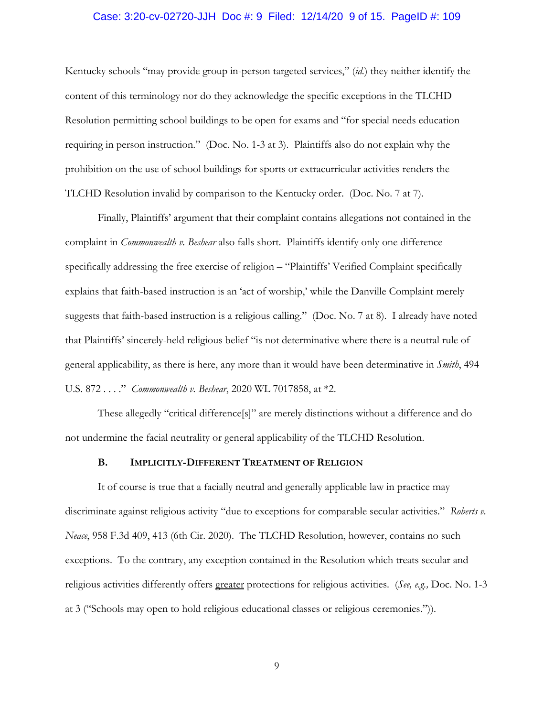### Case: 3:20-cv-02720-JJH Doc #: 9 Filed: 12/14/20 9 of 15. PageID #: 109

Kentucky schools "may provide group in-person targeted services," (*id.*) they neither identify the content of this terminology nor do they acknowledge the specific exceptions in the TLCHD Resolution permitting school buildings to be open for exams and "for special needs education requiring in person instruction." (Doc. No. 1-3 at 3). Plaintiffs also do not explain why the prohibition on the use of school buildings for sports or extracurricular activities renders the TLCHD Resolution invalid by comparison to the Kentucky order. (Doc. No. 7 at 7).

Finally, Plaintiffs' argument that their complaint contains allegations not contained in the complaint in *Commonwealth v. Beshear* also falls short. Plaintiffs identify only one difference specifically addressing the free exercise of religion – "Plaintiffs' Verified Complaint specifically explains that faith-based instruction is an 'act of worship,' while the Danville Complaint merely suggests that faith-based instruction is a religious calling." (Doc. No. 7 at 8). I already have noted that Plaintiffs' sincerely-held religious belief "is not determinative where there is a neutral rule of general applicability, as there is here, any more than it would have been determinative in *Smith*, 494 U.S. 872 . . . ." *Commonwealth v. Beshear*, 2020 WL 7017858, at \*2.

These allegedly "critical difference[s]" are merely distinctions without a difference and do not undermine the facial neutrality or general applicability of the TLCHD Resolution.

#### **B. IMPLICITLY-DIFFERENT TREATMENT OF RELIGION**

It of course is true that a facially neutral and generally applicable law in practice may discriminate against religious activity "due to exceptions for comparable secular activities." *Roberts v. Neace*, 958 F.3d 409, 413 (6th Cir. 2020). The TLCHD Resolution, however, contains no such exceptions. To the contrary, any exception contained in the Resolution which treats secular and religious activities differently offers greater protections for religious activities. (*See, e.g.,* Doc. No. 1-3 at 3 ("Schools may open to hold religious educational classes or religious ceremonies.")).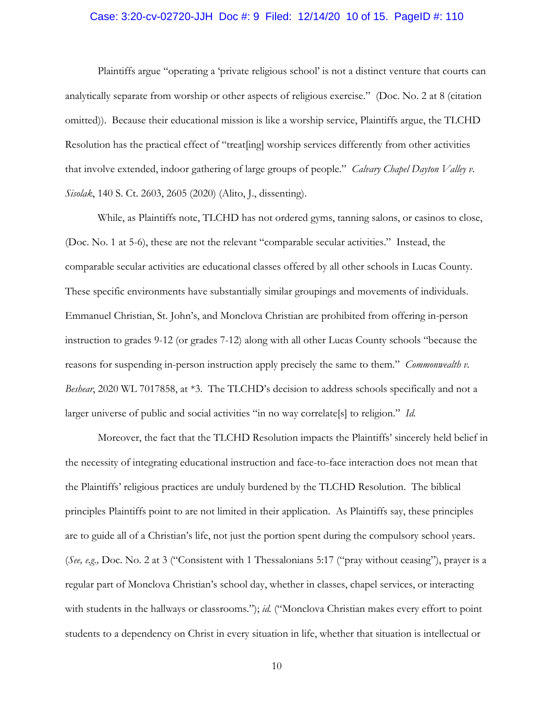### Case: 3:20-cv-02720-JJH Doc #: 9 Filed: 12/14/20 10 of 15. PageID #: 110

Plaintiffs argue "operating a 'private religious school' is not a distinct venture that courts can analytically separate from worship or other aspects of religious exercise." (Doc. No. 2 at 8 (citation omitted)). Because their educational mission is like a worship service, Plaintiffs argue, the TLCHD Resolution has the practical effect of "treat[ing] worship services differently from other activities that involve extended, indoor gathering of large groups of people." *Calvary Chapel Dayton Valley v. Sisolak*, 140 S. Ct. 2603, 2605 (2020) (Alito, J., dissenting).

While, as Plaintiffs note, TLCHD has not ordered gyms, tanning salons, or casinos to close, (Doc. No. 1 at 5-6), these are not the relevant "comparable secular activities." Instead, the comparable secular activities are educational classes offered by all other schools in Lucas County. These specific environments have substantially similar groupings and movements of individuals. Emmanuel Christian, St. John's, and Monclova Christian are prohibited from offering in-person instruction to grades 9-12 (or grades 7-12) along with all other Lucas County schools "because the reasons for suspending in-person instruction apply precisely the same to them." *Commonwealth v. Beshear*, 2020 WL 7017858, at \*3. The TLCHD's decision to address schools specifically and not a larger universe of public and social activities "in no way correlate[s] to religion." *Id.*

Moreover, the fact that the TLCHD Resolution impacts the Plaintiffs' sincerely held belief in the necessity of integrating educational instruction and face-to-face interaction does not mean that the Plaintiffs' religious practices are unduly burdened by the TLCHD Resolution. The biblical principles Plaintiffs point to are not limited in their application. As Plaintiffs say, these principles are to guide all of a Christian's life, not just the portion spent during the compulsory school years. (*See, e.g.,* Doc. No. 2 at 3 ("Consistent with 1 Thessalonians 5:17 ("pray without ceasing"), prayer is a regular part of Monclova Christian's school day, whether in classes, chapel services, or interacting with students in the hallways or classrooms."); *id.* ("Monclova Christian makes every effort to point students to a dependency on Christ in every situation in life, whether that situation is intellectual or

10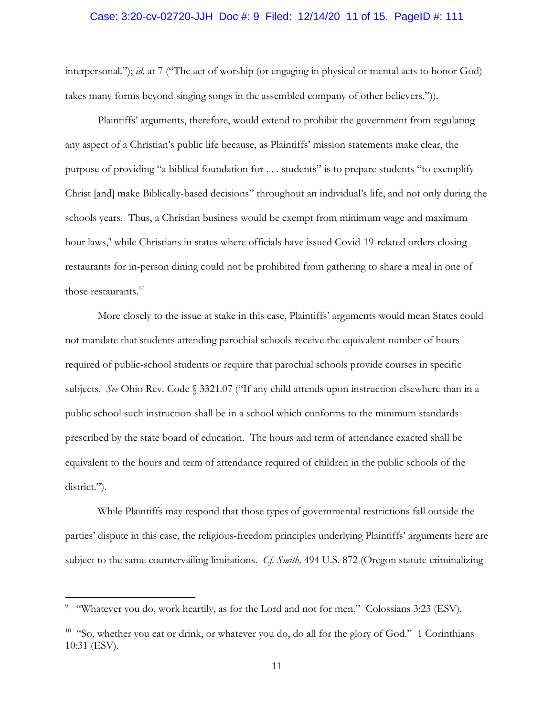#### Case: 3:20-cv-02720-JJH Doc #: 9 Filed: 12/14/20 11 of 15. PageID #: 111

interpersonal."); *id.* at 7 ("The act of worship (or engaging in physical or mental acts to honor God) takes many forms beyond singing songs in the assembled company of other believers.")).

Plaintiffs' arguments, therefore, would extend to prohibit the government from regulating any aspect of a Christian's public life because, as Plaintiffs' mission statements make clear, the purpose of providing "a biblical foundation for . . . students" is to prepare students "to exemplify Christ [and] make Biblically-based decisions" throughout an individual's life, and not only during the schools years. Thus, a Christian business would be exempt from minimum wage and maximum hour laws,<sup>9</sup> while Christians in states where officials have issued Covid-19-related orders closing restaurants for in-person dining could not be prohibited from gathering to share a meal in one of those restaurants. $10$ 

More closely to the issue at stake in this case, Plaintiffs' arguments would mean States could not mandate that students attending parochial schools receive the equivalent number of hours required of public-school students or require that parochial schools provide courses in specific subjects. *See* Ohio Rev. Code § 3321.07 ("If any child attends upon instruction elsewhere than in a public school such instruction shall be in a school which conforms to the minimum standards prescribed by the state board of education. The hours and term of attendance exacted shall be equivalent to the hours and term of attendance required of children in the public schools of the district.").

While Plaintiffs may respond that those types of governmental restrictions fall outside the parties' dispute in this case, the religious-freedom principles underlying Plaintiffs' arguments here are subject to the same countervailing limitations. *Cf. Smith,* 494 U.S. 872 (Oregon statute criminalizing

<sup>&</sup>lt;sup>9</sup> "Whatever you do, work heartily, as for the Lord and not for men." Colossians 3:23 (ESV).

<sup>&</sup>lt;sup>10</sup> "So, whether you eat or drink, or whatever you do, do all for the glory of God." 1 Corinthians 10:31 (ESV).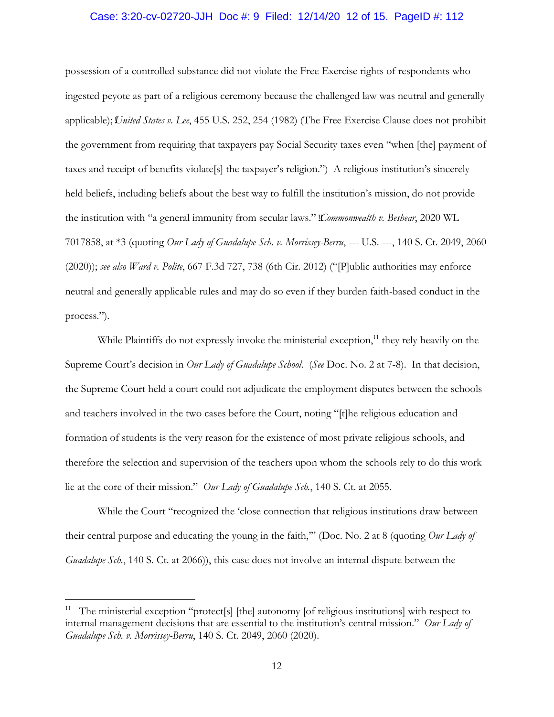#### Case: 3:20-cv-02720-JJH Doc #: 9 Filed: 12/14/20 12 of 15. PageID #: 112

possession of a controlled substance did not violate the Free Exercise rights of respondents who ingested peyote as part of a religious ceremony because the challenged law was neutral and generally applicable); *United States v. Lee*, 455 U.S. 252, 254 (1982) (The Free Exercise Clause does not prohibit the government from requiring that taxpayers pay Social Security taxes even "when [the] payment of taxes and receipt of benefits violate[s] the taxpayer's religion.") A religious institution's sincerely held beliefs, including beliefs about the best way to fulfill the institution's mission, do not provide the institution with "a general immunity from secular laws." *Commonwealth v. Beshear*, 2020 WL 7017858, at \*3 (quoting *Our Lady of Guadalupe Sch. v. Morrissey-Berru*, --- U.S. ---, 140 S. Ct. 2049, 2060 (2020)); *see also Ward v. Polite*, 667 F.3d 727, 738 (6th Cir. 2012) ("[P]ublic authorities may enforce neutral and generally applicable rules and may do so even if they burden faith-based conduct in the process.").

While Plaintiffs do not expressly invoke the ministerial exception, $<sup>11</sup>$  they rely heavily on the</sup> Supreme Court's decision in *Our Lady of Guadalupe School*. (*See* Doc. No. 2 at 7-8). In that decision, the Supreme Court held a court could not adjudicate the employment disputes between the schools and teachers involved in the two cases before the Court, noting "[t]he religious education and formation of students is the very reason for the existence of most private religious schools, and therefore the selection and supervision of the teachers upon whom the schools rely to do this work lie at the core of their mission." *Our Lady of Guadalupe Sch.*, 140 S. Ct. at 2055.

While the Court "recognized the 'close connection that religious institutions draw between their central purpose and educating the young in the faith,'" (Doc. No. 2 at 8 (quoting *Our Lady of Guadalupe Sch.*, 140 S. Ct. at 2066), this case does not involve an internal dispute between the

<sup>&</sup>lt;sup>11</sup> The ministerial exception "protect[s] [the] autonomy [of religious institutions] with respect to internal management decisions that are essential to the institution's central mission." *Our Lady of Guadalupe Sch. v. Morrissey-Berru*, 140 S. Ct. 2049, 2060 (2020).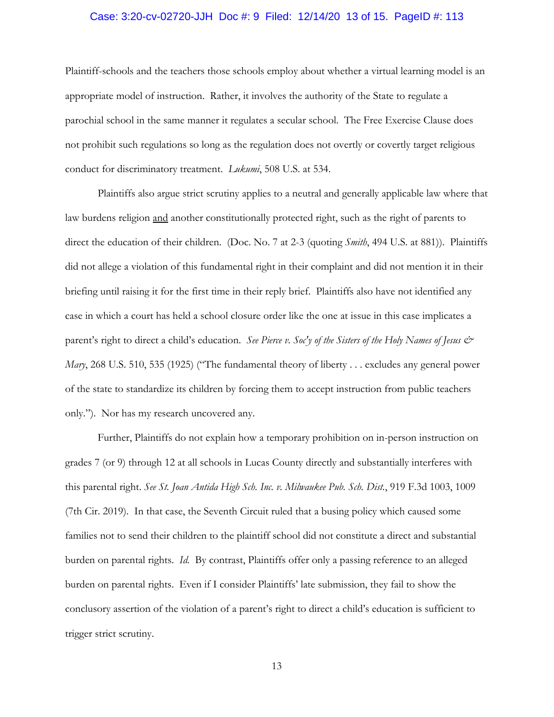### Case: 3:20-cv-02720-JJH Doc #: 9 Filed: 12/14/20 13 of 15. PageID #: 113

Plaintiff-schools and the teachers those schools employ about whether a virtual learning model is an appropriate model of instruction. Rather, it involves the authority of the State to regulate a parochial school in the same manner it regulates a secular school. The Free Exercise Clause does not prohibit such regulations so long as the regulation does not overtly or covertly target religious conduct for discriminatory treatment. *Lukumi*, 508 U.S. at 534.

Plaintiffs also argue strict scrutiny applies to a neutral and generally applicable law where that law burdens religion and another constitutionally protected right, such as the right of parents to direct the education of their children. (Doc. No. 7 at 2-3 (quoting *Smith*, 494 U.S. at 881)). Plaintiffs did not allege a violation of this fundamental right in their complaint and did not mention it in their briefing until raising it for the first time in their reply brief. Plaintiffs also have not identified any case in which a court has held a school closure order like the one at issue in this case implicates a parent's right to direct a child's education. *See Pierce v. Soc'y of the Sisters of the Holy Names of Jesus & Mary*, 268 U.S. 510, 535 (1925) ("The fundamental theory of liberty . . . excludes any general power of the state to standardize its children by forcing them to accept instruction from public teachers only."). Nor has my research uncovered any.

Further, Plaintiffs do not explain how a temporary prohibition on in-person instruction on grades 7 (or 9) through 12 at all schools in Lucas County directly and substantially interferes with this parental right. *See St. Joan Antida High Sch. Inc. v. Milwaukee Pub. Sch. Dist.*, 919 F.3d 1003, 1009 (7th Cir. 2019). In that case, the Seventh Circuit ruled that a busing policy which caused some families not to send their children to the plaintiff school did not constitute a direct and substantial burden on parental rights. *Id.* By contrast, Plaintiffs offer only a passing reference to an alleged burden on parental rights. Even if I consider Plaintiffs' late submission, they fail to show the conclusory assertion of the violation of a parent's right to direct a child's education is sufficient to trigger strict scrutiny.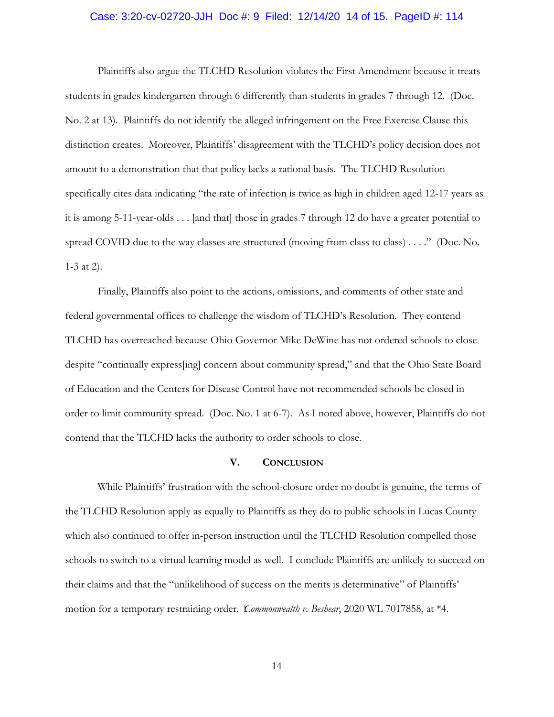#### Case: 3:20-cv-02720-JJH Doc #: 9 Filed: 12/14/20 14 of 15. PageID #: 114

Plaintiffs also argue the TLCHD Resolution violates the First Amendment because it treats students in grades kindergarten through 6 differently than students in grades 7 through 12. (Doc. No. 2 at 13). Plaintiffs do not identify the alleged infringement on the Free Exercise Clause this distinction creates. Moreover, Plaintiffs' disagreement with the TLCHD's policy decision does not amount to a demonstration that that policy lacks a rational basis. The TLCHD Resolution specifically cites data indicating "the rate of infection is twice as high in children aged 12-17 years as it is among 5-11-year-olds . . . [and that] those in grades 7 through 12 do have a greater potential to spread COVID due to the way classes are structured (moving from class to class) . . . ." (Doc. No. 1-3 at 2).

Finally, Plaintiffs also point to the actions, omissions, and comments of other state and federal governmental offices to challenge the wisdom of TLCHD's Resolution. They contend TLCHD has overreached because Ohio Governor Mike DeWine has not ordered schools to close despite "continually express[ing] concern about community spread," and that the Ohio State Board of Education and the Centers for Disease Control have not recommended schools be closed in order to limit community spread. (Doc. No. 1 at 6-7). As I noted above, however, Plaintiffs do not contend that the TLCHD lacks the authority to order schools to close.

#### **V. CONCLUSION**

While Plaintiffs' frustration with the school-closure order no doubt is genuine, the terms of the TLCHD Resolution apply as equally to Plaintiffs as they do to public schools in Lucas County which also continued to offer in-person instruction until the TLCHD Resolution compelled those schools to switch to a virtual learning model as well. I conclude Plaintiffs are unlikely to succeed on their claims and that the "unlikelihood of success on the merits is determinative" of Plaintiffs' motion for a temporary restraining order. *Commonwealth v. Beshear*, 2020 WL 7017858, at \*4.

14